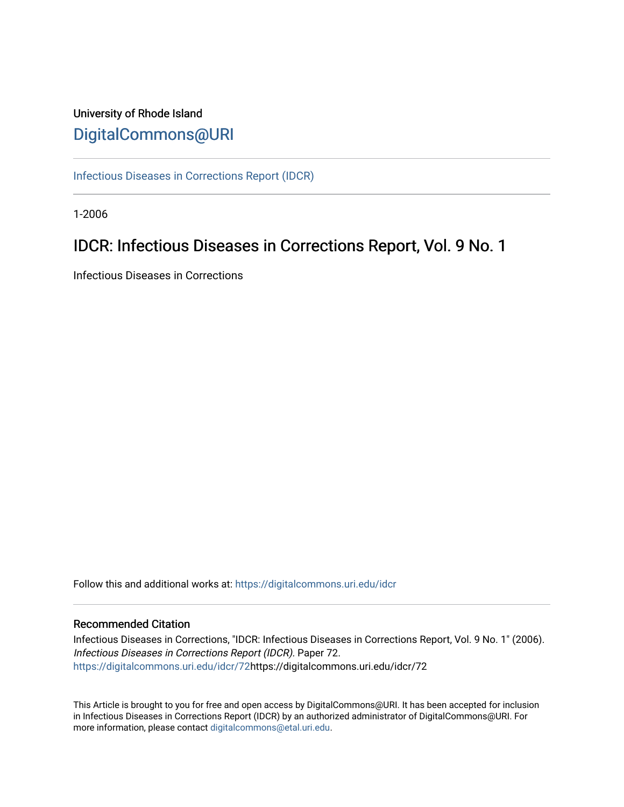# University of Rhode Island [DigitalCommons@URI](https://digitalcommons.uri.edu/)

[Infectious Diseases in Corrections Report \(IDCR\)](https://digitalcommons.uri.edu/idcr)

1-2006

# IDCR: Infectious Diseases in Corrections Report, Vol. 9 No. 1

Infectious Diseases in Corrections

Follow this and additional works at: [https://digitalcommons.uri.edu/idcr](https://digitalcommons.uri.edu/idcr?utm_source=digitalcommons.uri.edu%2Fidcr%2F72&utm_medium=PDF&utm_campaign=PDFCoverPages)

## Recommended Citation

Infectious Diseases in Corrections, "IDCR: Infectious Diseases in Corrections Report, Vol. 9 No. 1" (2006). Infectious Diseases in Corrections Report (IDCR). Paper 72. [https://digitalcommons.uri.edu/idcr/72h](https://digitalcommons.uri.edu/idcr/72?utm_source=digitalcommons.uri.edu%2Fidcr%2F72&utm_medium=PDF&utm_campaign=PDFCoverPages)ttps://digitalcommons.uri.edu/idcr/72

This Article is brought to you for free and open access by DigitalCommons@URI. It has been accepted for inclusion in Infectious Diseases in Corrections Report (IDCR) by an authorized administrator of DigitalCommons@URI. For more information, please contact [digitalcommons@etal.uri.edu.](mailto:digitalcommons@etal.uri.edu)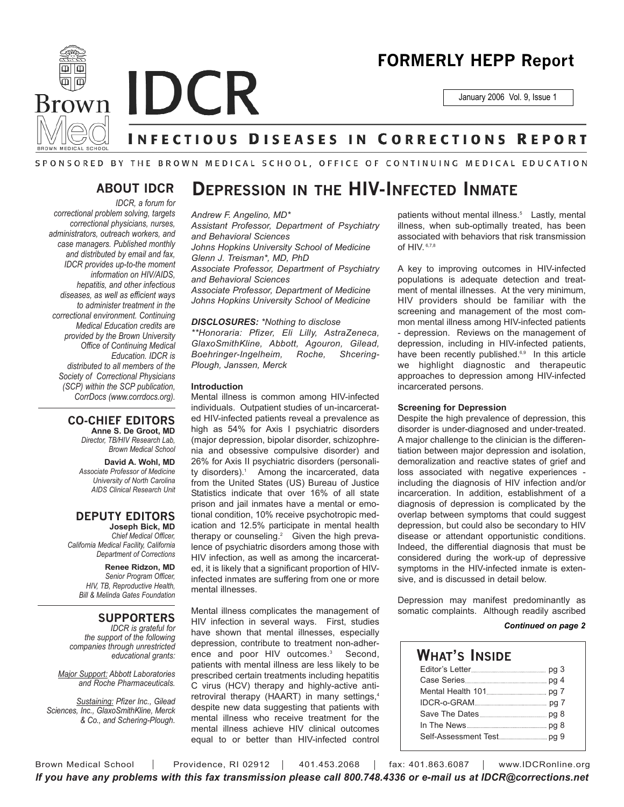

# **FORMERLY HEPP Report**

January 2006 Vol. 9, Issue 1

# **INFECTIOUS DISEASES IN CORRECTIONS REPORT**

### SPONSORED BY THE BROWN MEDICAL SCHOOL, OFFICE OF CONTINUING MEDICAL EDUCATION

## **ABOUT IDCR**

*IDCR, a forum for correctional problem solving, targets correctional physicians, nurses, administrators, outreach workers, and case managers. Published monthly and distributed by email and fax, IDCR provides up-to-the moment information on HIV/AIDS, hepatitis, and other infectious diseases, as well as efficient ways to administer treatment in the correctional environment. Continuing Medical Education credits are provided by the Brown University Office of Continuing Medical Education. IDCR is distributed to all members of the Society of Correctional Physicians (SCP) within the SCP publication, CorrDocs (www.corrdocs.org).*

#### **CO-CHIEF EDITORS Anne S. De Groot, MD**

*Director, TB/HIV Research Lab, Brown Medical School*

**David A. Wohl, MD** *Associate Professor of Medicine University of North Carolina AIDS Clinical Research Unit*

## **DEPUTY EDITORS**

**Joseph Bick, MD** *Chief Medical Officer, California Medical Facility, California Department of Corrections*

> **Renee Ridzon, MD** *Senior Program Officer, HIV, TB, Reproductive Health, Bill & Melinda Gates Foundation*

### **SUPPORTERS**

*IDCR is grateful for the support of the following companies through unrestricted educational grants:*

*Major Support: Abbott Laboratories and Roche Pharmaceuticals.* 

*Sustaining: Pfizer Inc., Gilead Sciences, Inc., GlaxoSmithKline, Merck & Co., and Schering-Plough.*

# **DEPRESSION IN THE HIV-INFECTED INMATE**

#### *Andrew F. Angelino, MD\**

*Assistant Professor, Department of Psychiatry and Behavioral Sciences Johns Hopkins University School of Medicine Glenn J. Treisman\*, MD, PhD Associate Professor, Department of Psychiatry and Behavioral Sciences Associate Professor, Department of Medicine Johns Hopkins University School of Medicine*

#### *DISCLOSURES: \*Nothing to disclose*

*\*\*Honoraria: Pfizer, Eli Lilly, AstraZeneca, GlaxoSmithKline, Abbott, Agouron, Gilead, Boehringer-Ingelheim, Roche, Shcering-Plough, Janssen, Merck*

#### **Introduction**

Mental illness is common among HIV-infected individuals. Outpatient studies of un-incarcerated HIV-infected patients reveal a prevalence as high as 54% for Axis I psychiatric disorders (major depression, bipolar disorder, schizophrenia and obsessive compulsive disorder) and 26% for Axis II psychiatric disorders (personality disorders).<sup>1</sup> Among the incarcerated, data from the United States (US) Bureau of Justice Statistics indicate that over 16% of all state prison and jail inmates have a mental or emotional condition, 10% receive psychotropic medication and 12.5% participate in mental health therapy or counseling.<sup>2</sup> Given the high prevalence of psychiatric disorders among those with HIV infection, as well as among the incarcerated, it is likely that a significant proportion of HIVinfected inmates are suffering from one or more mental illnesses.

Mental illness complicates the management of HIV infection in several ways. First, studies have shown that mental illnesses, especially depression, contribute to treatment non-adherence and poor HIV outcomes.<sup>3</sup> Second, patients with mental illness are less likely to be prescribed certain treatments including hepatitis C virus (HCV) therapy and highly-active antiretroviral therapy (HAART) in many settings,<sup>4</sup> despite new data suggesting that patients with mental illness who receive treatment for the mental illness achieve HIV clinical outcomes equal to or better than HIV-infected control

patients without mental illness.<sup>5</sup> Lastly, mental illness, when sub-optimally treated, has been associated with behaviors that risk transmission of HIV. 6,7,8

A key to improving outcomes in HIV-infected populations is adequate detection and treatment of mental illnesses. At the very minimum, HIV providers should be familiar with the screening and management of the most common mental illness among HIV-infected patients - depression. Reviews on the management of depression, including in HIV-infected patients, have been recently published.<sup>6,9</sup> In this article we highlight diagnostic and therapeutic approaches to depression among HIV-infected incarcerated persons.

#### **Screening for Depression**

Despite the high prevalence of depression, this disorder is under-diagnosed and under-treated. A major challenge to the clinician is the differentiation between major depression and isolation, demoralization and reactive states of grief and loss associated with negative experiences including the diagnosis of HIV infection and/or incarceration. In addition, establishment of a diagnosis of depression is complicated by the overlap between symptoms that could suggest depression, but could also be secondary to HIV disease or attendant opportunistic conditions. Indeed, the differential diagnosis that must be considered during the work-up of depressive symptoms in the HIV-infected inmate is extensive, and is discussed in detail below.

Depression may manifest predominantly as somatic complaints. Although readily ascribed

#### *Continued on page 2*

## **WHAT'S INSIDE** Editor's Letter **pg 3** Case Series pg 4 Mental Health 101 pg 7 IDCR-o-GRAM **page 7** Save The Dates pg 8 In The News pg 8 Self-Assessment Test pg 9

Brown Medical School | Providence, RI 02912 | 401.453.2068 | fax: 401.863.6087 | www.IDCRonline.org *If you have any problems with this fax transmission please call 800.748.4336 or e-mail us at IDCR@corrections.net*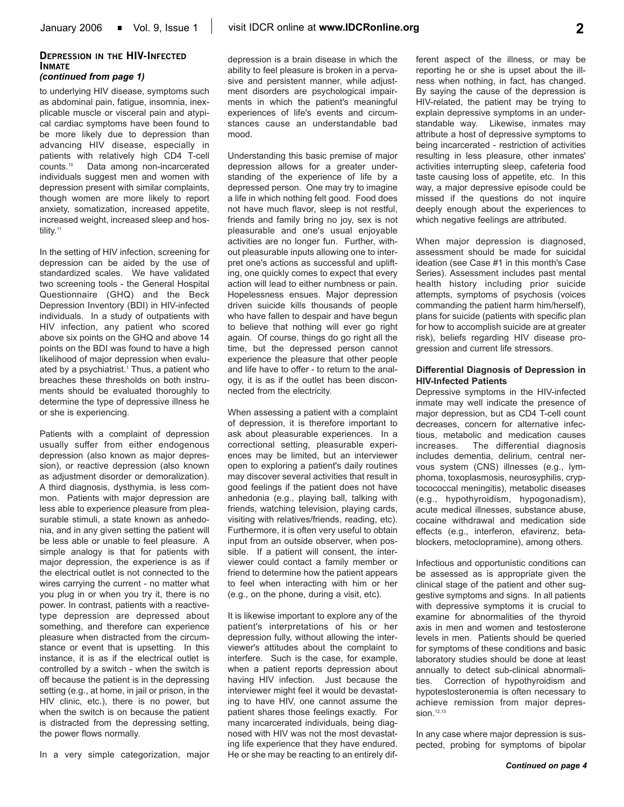#### **DEPRESSION IN THE HIV-INFECTED INMATE** *(continued from page 1)*

to underlying HIV disease, symptoms such as abdominal pain, fatigue, insomnia, inexplicable muscle or visceral pain and atypical cardiac symptoms have been found to be more likely due to depression than advancing HIV disease, especially in patients with relatively high CD4 T-cell counts.10 Data among non-incarcerated individuals suggest men and women with depression present with similar complaints, though women are more likely to report anxiety, somatization, increased appetite, increased weight, increased sleep and hostility.<sup>11</sup>

In the setting of HIV infection, screening for depression can be aided by the use of standardized scales. We have validated two screening tools - the General Hospital Questionnaire (GHQ) and the Beck Depression Inventory (BDI) in HIV-infected individuals. In a study of outpatients with HIV infection, any patient who scored above six points on the GHQ and above 14 points on the BDI was found to have a high likelihood of major depression when evaluated by a psychiatrist.<sup>1</sup> Thus, a patient who breaches these thresholds on both instruments should be evaluated thoroughly to determine the type of depressive illness he or she is experiencing.

Patients with a complaint of depression usually suffer from either endogenous depression (also known as major depression), or reactive depression (also known as adjustment disorder or demoralization). A third diagnosis, dysthymia, is less common. Patients with major depression are less able to experience pleasure from pleasurable stimuli, a state known as anhedonia, and in any given setting the patient will be less able or unable to feel pleasure. A simple analogy is that for patients with major depression, the experience is as if the electrical outlet is not connected to the wires carrying the current - no matter what you plug in or when you try it, there is no power. In contrast, patients with a reactivetype depression are depressed about something, and therefore can experience pleasure when distracted from the circumstance or event that is upsetting. In this instance, it is as if the electrical outlet is controlled by a switch - when the switch is off because the patient is in the depressing setting (e.g., at home, in jail or prison, in the HIV clinic, etc.), there is no power, but when the switch is on because the patient is distracted from the depressing setting, the power flows normally.

In a very simple categorization, major

depression is a brain disease in which the ability to feel pleasure is broken in a pervasive and persistent manner, while adjustment disorders are psychological impairments in which the patient's meaningful experiences of life's events and circumstances cause an understandable bad mood.

Understanding this basic premise of major depression allows for a greater understanding of the experience of life by a depressed person. One may try to imagine a life in which nothing felt good. Food does not have much flavor, sleep is not restful, friends and family bring no joy, sex is not pleasurable and one's usual enjoyable activities are no longer fun. Further, without pleasurable inputs allowing one to interpret one's actions as successful and uplifting, one quickly comes to expect that every action will lead to either numbness or pain. Hopelessness ensues. Major depression driven suicide kills thousands of people who have fallen to despair and have begun to believe that nothing will ever go right again. Of course, things do go right all the time, but the depressed person cannot experience the pleasure that other people and life have to offer - to return to the analogy, it is as if the outlet has been disconnected from the electricity.

When assessing a patient with a complaint of depression, it is therefore important to ask about pleasurable experiences. In a correctional setting, pleasurable experiences may be limited, but an interviewer open to exploring a patient's daily routines may discover several activities that result in good feelings if the patient does not have anhedonia (e.g., playing ball, talking with friends, watching television, playing cards, visiting with relatives/friends, reading, etc). Furthermore, it is often very useful to obtain input from an outside observer, when possible. If a patient will consent, the interviewer could contact a family member or friend to determine how the patient appears to feel when interacting with him or her (e.g., on the phone, during a visit, etc).

It is likewise important to explore any of the patient's interpretations of his or her depression fully, without allowing the interviewer's attitudes about the complaint to interfere. Such is the case, for example, when a patient reports depression about having HIV infection. Just because the interviewer might feel it would be devastating to have HIV, one cannot assume the patient shares those feelings exactly. For many incarcerated individuals, being diagnosed with HIV was not the most devastating life experience that they have endured. He or she may be reacting to an entirely different aspect of the illness, or may be reporting he or she is upset about the illness when nothing, in fact, has changed. By saying the cause of the depression is HIV-related, the patient may be trying to explain depressive symptoms in an understandable way. Likewise, inmates may attribute a host of depressive symptoms to being incarcerated - restriction of activities resulting in less pleasure, other inmates' activities interrupting sleep, cafeteria food taste causing loss of appetite, etc. In this way, a major depressive episode could be missed if the questions do not inquire deeply enough about the experiences to which negative feelings are attributed.

When major depression is diagnosed, assessment should be made for suicidal ideation (see Case #1 in this month's Case Series). Assessment includes past mental health history including prior suicide attempts, symptoms of psychosis (voices commanding the patient harm him/herself), plans for suicide (patients with specific plan for how to accomplish suicide are at greater risk), beliefs regarding HIV disease progression and current life stressors.

#### **Differential Diagnosis of Depression in HIV-Infected Patients**

Depressive symptoms in the HIV-infected inmate may well indicate the presence of major depression, but as CD4 T-cell count decreases, concern for alternative infectious, metabolic and medication causes increases. The differential diagnosis includes dementia, delirium, central nervous system (CNS) illnesses (e.g., lymphoma, toxoplasmosis, neurosyphilis, cryptocococcal meningitis), metabolic diseases (e.g., hypothyroidism, hypogonadism), acute medical illnesses, substance abuse, cocaine withdrawal and medication side effects (e.g., interferon, efavirenz, betablockers, metoclopramine), among others.

Infectious and opportunistic conditions can be assessed as is appropriate given the clinical stage of the patient and other suggestive symptoms and signs. In all patients with depressive symptoms it is crucial to examine for abnormalities of the thyroid axis in men and women and testosterone levels in men. Patients should be queried for symptoms of these conditions and basic laboratory studies should be done at least annually to detect sub-clinical abnormalities. Correction of hypothyroidism and hypotestosteronemia is often necessary to achieve remission from major depression. $12,13$ 

In any case where major depression is suspected, probing for symptoms of bipolar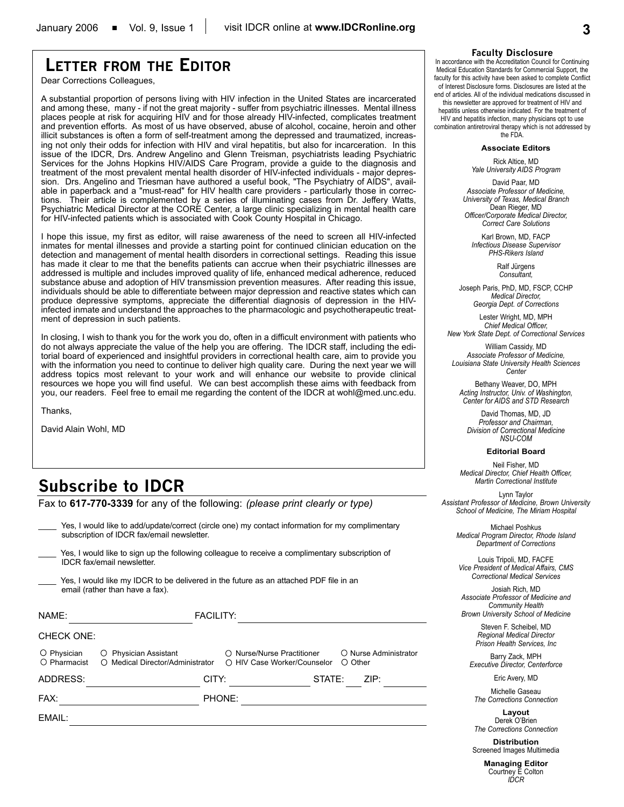# **LETTER FROM THE EDITOR**

Dear Corrections Colleagues,

A substantial proportion of persons living with HIV infection in the United States are incarcerated and among these, many - if not the great majority - suffer from psychiatric illnesses. Mental illness places people at risk for acquiring HIV and for those already HIV-infected, complicates treatment and prevention efforts. As most of us have observed, abuse of alcohol, cocaine, heroin and other illicit substances is often a form of self-treatment among the depressed and traumatized, increasing not only their odds for infection with HIV and viral hepatitis, but also for incarceration. In this issue of the IDCR, Drs. Andrew Angelino and Glenn Treisman, psychiatrists leading Psychiatric Services for the Johns Hopkins HIV/AIDS Care Program, provide a guide to the diagnosis and treatment of the most prevalent mental health disorder of HIV-infected individuals - major depression. Drs. Angelino and Triesman have authored a useful book, "The Psychiatry of AIDS", available in paperback and a "must-read" for HIV health care providers - particularly those in corrections. Their article is complemented by a series of illuminating cases from Dr. Jeffery Watts, Psychiatric Medical Director at the CORE Center, a large clinic specializing in mental health care for HIV-infected patients which is associated with Cook County Hospital in Chicago.

I hope this issue, my first as editor, will raise awareness of the need to screen all HIV-infected inmates for mental illnesses and provide a starting point for continued clinician education on the detection and management of mental health disorders in correctional settings. Reading this issue has made it clear to me that the benefits patients can accrue when their psychiatric illnesses are addressed is multiple and includes improved quality of life, enhanced medical adherence, reduced substance abuse and adoption of HIV transmission prevention measures. After reading this issue, individuals should be able to differentiate between major depression and reactive states which can produce depressive symptoms, appreciate the differential diagnosis of depression in the HIVinfected inmate and understand the approaches to the pharmacologic and psychotherapeutic treatment of depression in such patients.

In closing, I wish to thank you for the work you do, often in a difficult environment with patients who do not always appreciate the value of the help you are offering. The IDCR staff, including the editorial board of experienced and insightful providers in correctional health care, aim to provide you with the information you need to continue to deliver high quality care. During the next year we will address topics most relevant to your work and will enhance our website to provide clinical resources we hope you will find useful. We can best accomplish these aims with feedback from you, our readers. Feel free to email me regarding the content of the IDCR at wohl@med.unc.edu.

Thanks,

David Alain Wohl, MD

# **Subscribe to IDCR**

Fax to **617-770-3339** for any of the following: *(please print clearly or type)*

Yes, I would like to add/update/correct (circle one) my contact information for my complimentary subscription of IDCR fax/email newsletter.

Yes, I would like to sign up the following colleague to receive a complimentary subscription of IDCR fax/email newsletter.

Yes, I would like my IDCR to be delivered in the future as an attached PDF file in an email (rather than have a fax).

| NAME:                                |                                                           | <b>FACILITY:</b> |                                                           |        |                  |                       |
|--------------------------------------|-----------------------------------------------------------|------------------|-----------------------------------------------------------|--------|------------------|-----------------------|
| <b>CHECK ONE:</b>                    |                                                           |                  |                                                           |        |                  |                       |
| O Physician<br>$\bigcirc$ Pharmacist | O Physician Assistant<br>O Medical Director/Administrator |                  | ○ Nurse/Nurse Practitioner<br>○ HIV Case Worker/Counselor |        | $\bigcirc$ Other | O Nurse Administrator |
| ADDRESS:                             | CITY:                                                     |                  |                                                           | STATE: |                  | ZIP:                  |
| FAX:                                 |                                                           | PHONE:           |                                                           |        |                  |                       |
| EMAIL:                               |                                                           |                  |                                                           |        |                  |                       |
|                                      |                                                           |                  |                                                           |        |                  |                       |

#### **Faculty Disclosure**

In accordance with the Accreditation Council for Continuing Medical Education Standards for Commercial Support, the faculty for this activity have been asked to complete Conflict of Interest Disclosure forms. Disclosures are listed at the end of articles. All of the individual medications discussed in

this newsletter are approved for treatment of HIV and hepatitis unless otherwise indicated. For the treatment of HIV and hepatitis infection, many physicians opt to use combination antiretroviral therapy which is not addressed by the FDA.

#### **Associate Editors**

Rick Altice, MD *Yale University AIDS Program*

David Paar, MD *Associate Professor of Medicine, University of Texas, Medical Branch* Dean Rieger, MD *Officer/Corporate Medical Director, Correct Care Solutions*

Karl Brown, MD, FACP *Infectious Disease Supervisor PHS-Rikers Island*

> Ralf Jürgens *Consultant,*

Joseph Paris, PhD, MD, FSCP, CCHP *Medical Director, Georgia Dept. of Corrections*

Lester Wright, MD, MPH *Chief Medical Officer, New York State Dept. of Correctional Services*

William Cassidy, MD *Associate Professor of Medicine, Louisiana State University Health Sciences Center*

Bethany Weaver, DO, MPH *Acting Instructor, Univ. of Washington, Center for AIDS and STD Research*

David Thomas, MD, JD *Professor and Chairman, Division of Correctional Medicine NSU-COM*

#### **Editorial Board**

Neil Fisher, MD *Medical Director, Chief Health Officer, Martin Correctional Institute*

Lynn Taylor *Assistant Professor of Medicine, Brown University School of Medicine, The Miriam Hospital*

Michael Poshkus *Medical Program Director, Rhode Island Department of Corrections*

Louis Tripoli, MD, FACFE *Vice President of Medical Affairs, CMS Correctional Medical Services*

Josiah Rich, MD *Associate Professor of Medicine and Community Health Brown University School of Medicine*

> Steven F. Scheibel, MD *Regional Medical Director Prison Health Services, Inc*

Barry Zack, MPH *Executive Director, Centerforce*

Eric Avery, MD

Michelle Gaseau *The Corrections Connection*

**Layout** Derek O'Brien *The Corrections Connection*

**Distribution** Screened Images Multimedia

> **Managing Editor** Courtney E Colton *IDCR*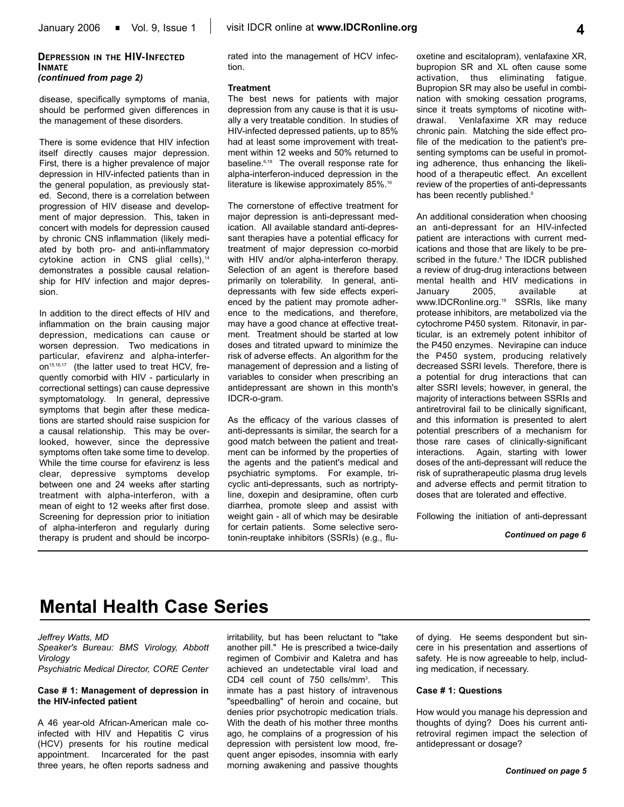disease, specifically symptoms of mania, should be performed given differences in the management of these disorders.

There is some evidence that HIV infection itself directly causes major depression. First, there is a higher prevalence of major depression in HIV-infected patients than in the general population, as previously stated. Second, there is a correlation between progression of HIV disease and development of major depression. This, taken in concert with models for depression caused by chronic CNS inflammation (likely mediated by both pro- and anti-inflammatory cytokine action in CNS glial cells),<sup>14</sup> demonstrates a possible causal relationship for HIV infection and major depression.

In addition to the direct effects of HIV and inflammation on the brain causing major depression, medications can cause or worsen depression. Two medications in particular, efavirenz and alpha-interferon<sup>15,16,17</sup> (the latter used to treat HCV, frequently comorbid with HIV - particularly in correctional settings) can cause depressive symptomatology. In general, depressive symptoms that begin after these medications are started should raise suspicion for a causal relationship. This may be overlooked, however, since the depressive symptoms often take some time to develop. While the time course for efavirenz is less clear, depressive symptoms develop between one and 24 weeks after starting treatment with alpha-interferon, with a mean of eight to 12 weeks after first dose. Screening for depression prior to initiation of alpha-interferon and regularly during therapy is prudent and should be incorporated into the management of HCV infection.

#### **Treatment**

The best news for patients with major depression from any cause is that it is usually a very treatable condition. In studies of HIV-infected depressed patients, up to 85% had at least some improvement with treatment within 12 weeks and 50% returned to baseline.6,18 The overall response rate for alpha-interferon-induced depression in the literature is likewise approximately 85%.<sup>16</sup>

The cornerstone of effective treatment for major depression is anti-depressant medication. All available standard anti-depressant therapies have a potential efficacy for treatment of major depression co-morbid with HIV and/or alpha-interferon therapy. Selection of an agent is therefore based primarily on tolerability. In general, antidepressants with few side effects experienced by the patient may promote adherence to the medications, and therefore, may have a good chance at effective treatment. Treatment should be started at low doses and titrated upward to minimize the risk of adverse effects. An algorithm for the management of depression and a listing of variables to consider when prescribing an antidepressant are shown in this month's IDCR-o-gram.

As the efficacy of the various classes of anti-depressants is similar, the search for a good match between the patient and treatment can be informed by the properties of the agents and the patient's medical and psychiatric symptoms. For example, tricyclic anti-depressants, such as nortriptyline, doxepin and desipramine, often curb diarrhea, promote sleep and assist with weight gain - all of which may be desirable for certain patients. Some selective serotonin-reuptake inhibitors (SSRIs) (e.g., fluoxetine and escitalopram), venlafaxine XR, bupropion SR and XL often cause some activation, thus eliminating fatigue. Bupropion SR may also be useful in combination with smoking cessation programs, since it treats symptoms of nicotine withdrawal. Venlafaxime XR may reduce chronic pain. Matching the side effect profile of the medication to the patient's presenting symptoms can be useful in promoting adherence, thus enhancing the likelihood of a therapeutic effect. An excellent review of the properties of anti-depressants has been recently published.<sup>9</sup>

An additional consideration when choosing an anti-depressant for an HIV-infected patient are interactions with current medications and those that are likely to be prescribed in the future.<sup>6</sup> The IDCR published a review of drug-drug interactions between mental health and HIV medications in January 2005, available at www.IDCRonline.org.19 SSRIs, like many protease inhibitors, are metabolized via the cytochrome P450 system. Ritonavir, in particular, is an extremely potent inhibitor of the P450 enzymes. Nevirapine can induce the P450 system, producing relatively decreased SSRI levels. Therefore, there is a potential for drug interactions that can alter SSRI levels; however, in general, the majority of interactions between SSRIs and antiretroviral fail to be clinically significant, and this information is presented to alert potential prescribers of a mechanism for those rare cases of clinically-significant interactions. Again, starting with lower doses of the anti-depressant will reduce the risk of supratherapeutic plasma drug levels and adverse effects and permit titration to doses that are tolerated and effective.

Following the initiation of anti-depressant

#### *Continued on page 6*

# **Mental Health Case Series**

### *Jeffrey Watts, MD*

*Speaker's Bureau: BMS Virology, Abbott Virology*

*Psychiatric Medical Director, CORE Center*

#### **Case # 1: Management of depression in the HIV-infected patient**

A 46 year-old African-American male coinfected with HIV and Hepatitis C virus (HCV) presents for his routine medical appointment. Incarcerated for the past three years, he often reports sadness and irritability, but has been reluctant to "take another pill." He is prescribed a twice-daily regimen of Combivir and Kaletra and has achieved an undetectable viral load and CD4 cell count of 750 cells/mm<sup>3</sup>. This inmate has a past history of intravenous "speedballing" of heroin and cocaine, but denies prior psychotropic medication trials. With the death of his mother three months ago, he complains of a progression of his depression with persistent low mood, frequent anger episodes, insomnia with early morning awakening and passive thoughts

of dying. He seems despondent but sincere in his presentation and assertions of safety. He is now agreeable to help, including medication, if necessary.

#### **Case # 1: Questions**

How would you manage his depression and thoughts of dying? Does his current antiretroviral regimen impact the selection of antidepressant or dosage?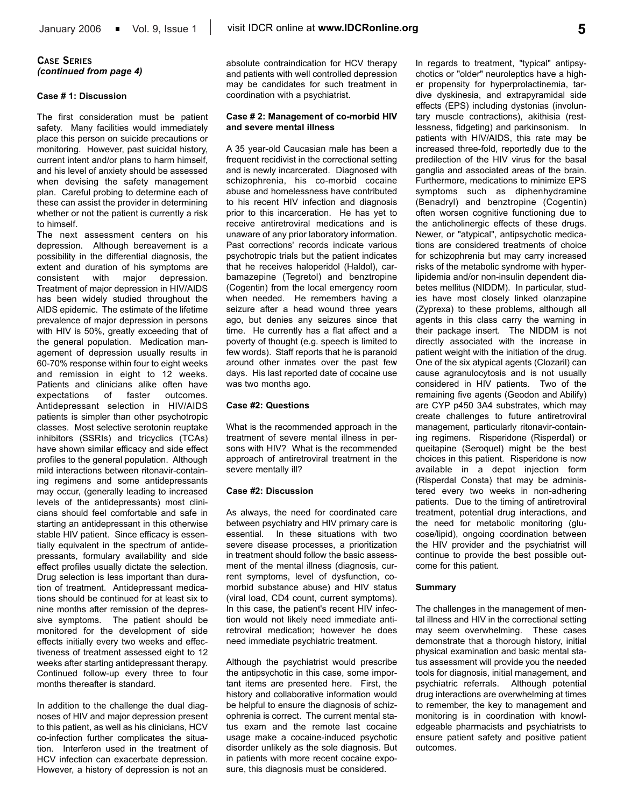### **CASE SERIES** *(continued from page 4)*

#### **Case # 1: Discussion**

The first consideration must be patient safety. Many facilities would immediately place this person on suicide precautions or monitoring. However, past suicidal history, current intent and/or plans to harm himself, and his level of anxiety should be assessed when devising the safety management plan. Careful probing to determine each of these can assist the provider in determining whether or not the patient is currently a risk to himself.

The next assessment centers on his depression. Although bereavement is a possibility in the differential diagnosis, the extent and duration of his symptoms are consistent with major depression. Treatment of major depression in HIV/AIDS has been widely studied throughout the AIDS epidemic. The estimate of the lifetime prevalence of major depression in persons with HIV is 50%, greatly exceeding that of the general population. Medication management of depression usually results in 60-70% response within four to eight weeks and remission in eight to 12 weeks. Patients and clinicians alike often have expectations of faster outcomes. Antidepressant selection in HIV/AIDS patients is simpler than other psychotropic classes. Most selective serotonin reuptake inhibitors (SSRIs) and tricyclics (TCAs) have shown similar efficacy and side effect profiles to the general population. Although mild interactions between ritonavir-containing regimens and some antidepressants may occur, (generally leading to increased levels of the antidepressants) most clinicians should feel comfortable and safe in starting an antidepressant in this otherwise stable HIV patient. Since efficacy is essentially equivalent in the spectrum of antidepressants, formulary availability and side effect profiles usually dictate the selection. Drug selection is less important than duration of treatment. Antidepressant medications should be continued for at least six to nine months after remission of the depressive symptoms. The patient should be monitored for the development of side effects initially every two weeks and effectiveness of treatment assessed eight to 12 weeks after starting antidepressant therapy. Continued follow-up every three to four months thereafter is standard.

In addition to the challenge the dual diagnoses of HIV and major depression present to this patient, as well as his clinicians, HCV co-infection further complicates the situation. Interferon used in the treatment of HCV infection can exacerbate depression. However, a history of depression is not an

absolute contraindication for HCV therapy and patients with well controlled depression may be candidates for such treatment in coordination with a psychiatrist.

#### **Case # 2: Management of co-morbid HIV and severe mental illness**

A 35 year-old Caucasian male has been a frequent recidivist in the correctional setting and is newly incarcerated. Diagnosed with schizophrenia, his co-morbid cocaine abuse and homelessness have contributed to his recent HIV infection and diagnosis prior to this incarceration. He has yet to receive antiretroviral medications and is unaware of any prior laboratory information. Past corrections' records indicate various psychotropic trials but the patient indicates that he receives haloperidol (Haldol), carbamazepine (Tegretol) and benztropine (Cogentin) from the local emergency room when needed. He remembers having a seizure after a head wound three years ago, but denies any seizures since that time. He currently has a flat affect and a poverty of thought (e.g. speech is limited to few words). Staff reports that he is paranoid around other inmates over the past few days. His last reported date of cocaine use was two months ago.

#### **Case #2: Questions**

What is the recommended approach in the treatment of severe mental illness in persons with HIV? What is the recommended approach of antiretroviral treatment in the severe mentally ill?

#### **Case #2: Discussion**

As always, the need for coordinated care between psychiatry and HIV primary care is essential. In these situations with two severe disease processes, a prioritization in treatment should follow the basic assessment of the mental illness (diagnosis, current symptoms, level of dysfunction, comorbid substance abuse) and HIV status (viral load, CD4 count, current symptoms). In this case, the patient's recent HIV infection would not likely need immediate antiretroviral medication; however he does need immediate psychiatric treatment.

Although the psychiatrist would prescribe the antipsychotic in this case, some important items are presented here. First, the history and collaborative information would be helpful to ensure the diagnosis of schizophrenia is correct. The current mental status exam and the remote last cocaine usage make a cocaine-induced psychotic disorder unlikely as the sole diagnosis. But in patients with more recent cocaine exposure, this diagnosis must be considered.

In regards to treatment, "typical" antipsychotics or "older" neuroleptics have a higher propensity for hyperprolactinemia, tardive dyskinesia, and extrapyramidal side effects (EPS) including dystonias (involuntary muscle contractions), akithisia (restlessness, fidgeting) and parkinsonism. In patients with HIV/AIDS, this rate may be increased three-fold, reportedly due to the predilection of the HIV virus for the basal ganglia and associated areas of the brain. Furthermore, medications to minimize EPS symptoms such as diphenhydramine (Benadryl) and benztropine (Cogentin) often worsen cognitive functioning due to the anticholinergic effects of these drugs. Newer, or "atypical", antipsychotic medications are considered treatments of choice for schizophrenia but may carry increased risks of the metabolic syndrome with hyperlipidemia and/or non-insulin dependent diabetes mellitus (NIDDM). In particular, studies have most closely linked olanzapine (Zyprexa) to these problems, although all agents in this class carry the warning in their package insert. The NIDDM is not directly associated with the increase in patient weight with the initiation of the drug. One of the six atypical agents (Clozaril) can cause agranulocytosis and is not usually considered in HIV patients. Two of the remaining five agents (Geodon and Abilify) are CYP p450 3A4 substrates, which may create challenges to future antiretroviral management, particularly ritonavir-containing regimens. Risperidone (Risperdal) or queitapine (Seroquel) might be the best choices in this patient. Risperidone is now available in a depot injection form (Risperdal Consta) that may be administered every two weeks in non-adhering patients. Due to the timing of antiretroviral treatment, potential drug interactions, and the need for metabolic monitoring (glucose/lipid), ongoing coordination between the HIV provider and the psychiatrist will continue to provide the best possible outcome for this patient.

#### **Summary**

The challenges in the management of mental illness and HIV in the correctional setting may seem overwhelming. These cases demonstrate that a thorough history, initial physical examination and basic mental status assessment will provide you the needed tools for diagnosis, initial management, and psychiatric referrals. Although potential drug interactions are overwhelming at times to remember, the key to management and monitoring is in coordination with knowledgeable pharmacists and psychiatrists to ensure patient safety and positive patient outcomes.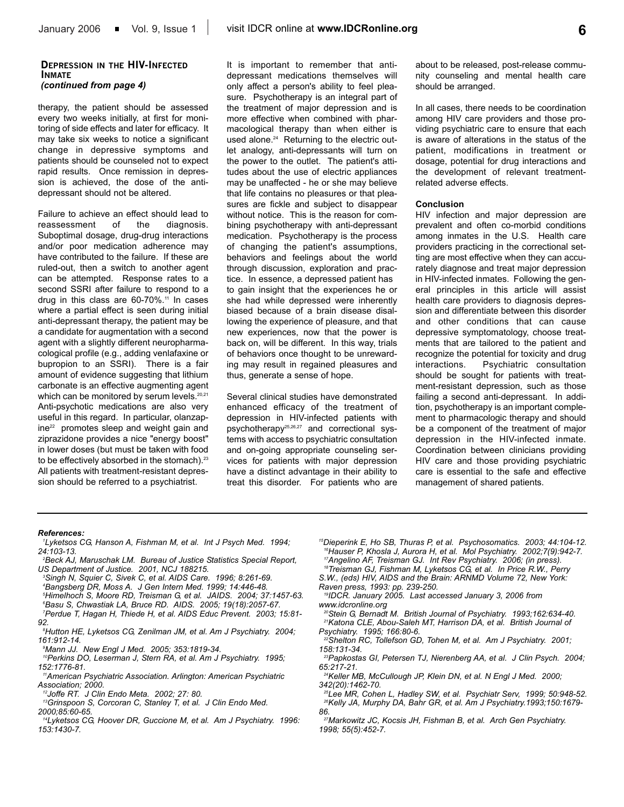#### **DEPRESSION IN THE HIV-INFECTED INMATE** *(continued from page 4)*

therapy, the patient should be assessed every two weeks initially, at first for monitoring of side effects and later for efficacy. It may take six weeks to notice a significant change in depressive symptoms and patients should be counseled not to expect rapid results. Once remission in depression is achieved, the dose of the antidepressant should not be altered.

Failure to achieve an effect should lead to reassessment of the diagnosis. Suboptimal dosage, drug-drug interactions and/or poor medication adherence may have contributed to the failure. If these are ruled-out, then a switch to another agent can be attempted. Response rates to a second SSRI after failure to respond to a drug in this class are 60-70%.<sup>11</sup> In cases where a partial effect is seen during initial anti-depressant therapy, the patient may be a candidate for augmentation with a second agent with a slightly different neuropharmacological profile (e.g., adding venlafaxine or bupropion to an SSRI). There is a fair amount of evidence suggesting that lithium carbonate is an effective augmenting agent which can be monitored by serum levels.<sup>20,21</sup> Anti-psychotic medications are also very useful in this regard. In particular, olanzapine<sup>22</sup> promotes sleep and weight gain and ziprazidone provides a nice "energy boost" in lower doses (but must be taken with food to be effectively absorbed in the stomach).<sup>23</sup> All patients with treatment-resistant depression should be referred to a psychiatrist.

It is important to remember that antidepressant medications themselves will only affect a person's ability to feel pleasure. Psychotherapy is an integral part of the treatment of major depression and is more effective when combined with pharmacological therapy than when either is used alone.<sup>24</sup> Returning to the electric outlet analogy, anti-depressants will turn on the power to the outlet. The patient's attitudes about the use of electric appliances may be unaffected - he or she may believe that life contains no pleasures or that pleasures are fickle and subject to disappear without notice. This is the reason for combining psychotherapy with anti-depressant medication. Psychotherapy is the process of changing the patient's assumptions, behaviors and feelings about the world through discussion, exploration and practice. In essence, a depressed patient has to gain insight that the experiences he or she had while depressed were inherently biased because of a brain disease disallowing the experience of pleasure, and that new experiences, now that the power is back on, will be different. In this way, trials of behaviors once thought to be unrewarding may result in regained pleasures and thus, generate a sense of hope.

Several clinical studies have demonstrated enhanced efficacy of the treatment of depression in HIV-infected patients with psychotherapy25,26,27 and correctional systems with access to psychiatric consultation and on-going appropriate counseling services for patients with major depression have a distinct advantage in their ability to treat this disorder. For patients who are

about to be released, post-release community counseling and mental health care should be arranged.

In all cases, there needs to be coordination among HIV care providers and those providing psychiatric care to ensure that each is aware of alterations in the status of the patient, modifications in treatment or dosage, potential for drug interactions and the development of relevant treatmentrelated adverse effects.

#### **Conclusion**

HIV infection and major depression are prevalent and often co-morbid conditions among inmates in the U.S. Health care providers practicing in the correctional setting are most effective when they can accurately diagnose and treat major depression in HIV-infected inmates. Following the general principles in this article will assist health care providers to diagnosis depression and differentiate between this disorder and other conditions that can cause depressive symptomatology, choose treatments that are tailored to the patient and recognize the potential for toxicity and drug interactions. Psychiatric consultation should be sought for patients with treatment-resistant depression, such as those failing a second anti-depressant. In addition, psychotherapy is an important complement to pharmacologic therapy and should be a component of the treatment of major depression in the HIV-infected inmate. Coordination between clinicians providing HIV care and those providing psychiatric care is essential to the safe and effective management of shared patients.

#### *References:*

- *1 Lyketsos CG, Hanson A, Fishman M, et al. Int J Psych Med. 1994; 24:103-13.*
- *2 Beck AJ, Maruschak LM. Bureau of Justice Statistics Special Report, US Department of Justice. 2001, NCJ 188215.*
- *3 Singh N, Squier C, Sivek C, et al. AIDS Care. 1996; 8:261-69. 4 Bangsberg DR, Moss A. J Gen Intern Med. 1999; 14:446-48. 5 Himelhoch S, Moore RD, Treisman G, et al. JAIDS. 2004; 37:1457-63.*
- *6 Basu S, Chwastiak LA, Bruce RD. AIDS. 2005; 19(18):2057-67. 7 Perdue T, Hagan H, Thiede H, et al. AIDS Educ Prevent. 2003; 15:81-*
- *92.*
- *8 Hutton HE, Lyketsos CG, Zenilman JM, et al. Am J Psychiatry. 2004; 161:912-14.*
- *9 Mann JJ. New Engl J Med. 2005; 353:1819-34.*
- *10Perkins DO, Leserman J, Stern RA, et al. Am J Psychiatry. 1995; 152:1776-81.*
- *11American Psychiatric Association. Arlington: American Psychiatric Association; 2000.*
- *12Joffe RT. J Clin Endo Meta. 2002; 27: 80.*
- *13Grinspoon S, Corcoran C, Stanley T, et al. J Clin Endo Med. 2000;85:60-65.*
- *14Lyketsos CG, Hoover DR, Guccione M, et al. Am J Psychiatry. 1996: 153:1430-7.*
- *15Dieperink E, Ho SB, Thuras P, et al. Psychosomatics. 2003; 44:104-12. 16Hauser P, Khosla J, Aurora H, et al. Mol Psychiatry. 2002;7(9):942-7. 17Angelino AF, Treisman GJ. Int Rev Psychiatry. 2006; (in press).*
- *18Treisman GJ, Fishman M, Lyketsos CG, et al. In Price R.W., Perry S.W., (eds) HIV, AIDS and the Brain: ARNMD Volume 72, New York: Raven press, 1993: pp. 239-250.*
- *19IDCR. January 2005. Last accessed January 3, 2006 from www.idcronline.org*
- *20Stein G, Bernadt M. British Journal of Psychiatry. 1993;162:634-40. 21Katona CLE, Abou-Saleh MT, Harrison DA, et al. British Journal of Psychiatry. 1995; 166:80-6.*
- *22Shelton RC, Tollefson GD, Tohen M, et al. Am J Psychiatry. 2001; 158:131-34.*
- *23Papkostas GI, Petersen TJ, Nierenberg AA, et al. J Clin Psych. 2004; 65:217-21.*
- *24Keller MB, McCullough JP, Klein DN, et al. N Engl J Med. 2000; 342(20):1462-70.*
- *25Lee MR, Cohen L, Hadley SW, et al. Psychiatr Serv, 1999; 50:948-52. 26Kelly JA, Murphy DA, Bahr GR, et al. Am J Psychiatry.1993;150:1679- 86.*
- *27Markowitz JC, Kocsis JH, Fishman B, et al. Arch Gen Psychiatry. 1998; 55(5):452-7.*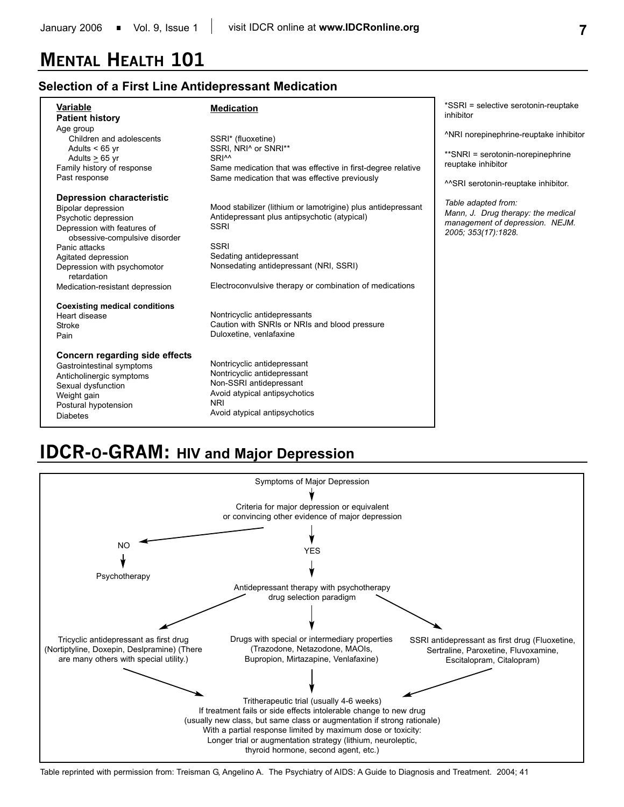# **MENTAL HEALTH 101**

## **Selection of a First Line Antidepressant Medication**

| Variable<br><b>Patient history</b>                               | <b>Medication</b>                                               | *SSRI = selective serotonin-reuptake<br>inhibitor                     |
|------------------------------------------------------------------|-----------------------------------------------------------------|-----------------------------------------------------------------------|
| Age group                                                        |                                                                 | <sup>A</sup> NRI norepinephrine-reuptake inhibitor                    |
| Children and adolescents<br>Adults $< 65$ yr<br>Adults $> 65$ yr | SSRI* (fluoxetine)<br>SSRI, NRI^ or SNRI**<br>SRI <sup>^^</sup> | **SNRI = serotonin-norepinephrine                                     |
| Family history of response                                       | Same medication that was effective in first-degree relative     | reuptake inhibitor                                                    |
| Past response                                                    | Same medication that was effective previously                   | ^^SRI serotonin-reuptake inhibitor.                                   |
| <b>Depression characteristic</b>                                 |                                                                 |                                                                       |
| Bipolar depression                                               | Mood stabilizer (lithium or lamotrigine) plus antidepressant    | Table adapted from:                                                   |
| Psychotic depression                                             | Antidepressant plus antipsychotic (atypical)                    | Mann, J. Drug therapy: the medical<br>management of depression. NEJM. |
| Depression with features of<br>obsessive-compulsive disorder     | <b>SSRI</b>                                                     |                                                                       |
| Panic attacks                                                    | <b>SSRI</b>                                                     |                                                                       |
| Agitated depression                                              | Sedating antidepressant                                         |                                                                       |
| Depression with psychomotor<br>retardation                       | Nonsedating antidepressant (NRI, SSRI)                          |                                                                       |
| Medication-resistant depression                                  | Electroconvulsive therapy or combination of medications         |                                                                       |
| <b>Coexisting medical conditions</b>                             |                                                                 |                                                                       |
| Heart disease                                                    | Nontricyclic antidepressants                                    |                                                                       |
| Stroke                                                           | Caution with SNRIs or NRIs and blood pressure                   |                                                                       |
| Pain                                                             | Duloxetine, venlafaxine                                         |                                                                       |
| Concern regarding side effects                                   |                                                                 |                                                                       |
| Gastrointestinal symptoms                                        | Nontricyclic antidepressant                                     |                                                                       |
| Anticholinergic symptoms                                         | Nontricyclic antidepressant                                     |                                                                       |
| Sexual dysfunction                                               | Non-SSRI antidepressant                                         |                                                                       |
| Weight gain                                                      | Avoid atypical antipsychotics                                   |                                                                       |
| Postural hypotension                                             | <b>NRI</b>                                                      |                                                                       |
| <b>Diabetes</b>                                                  | Avoid atypical antipsychotics                                   |                                                                       |

# **IDCR-O-GRAM: HIV and Major Depression**



Table reprinted with permission from: Treisman G, Angelino A. The Psychiatry of AIDS: A Guide to Diagnosis and Treatment. 2004; 41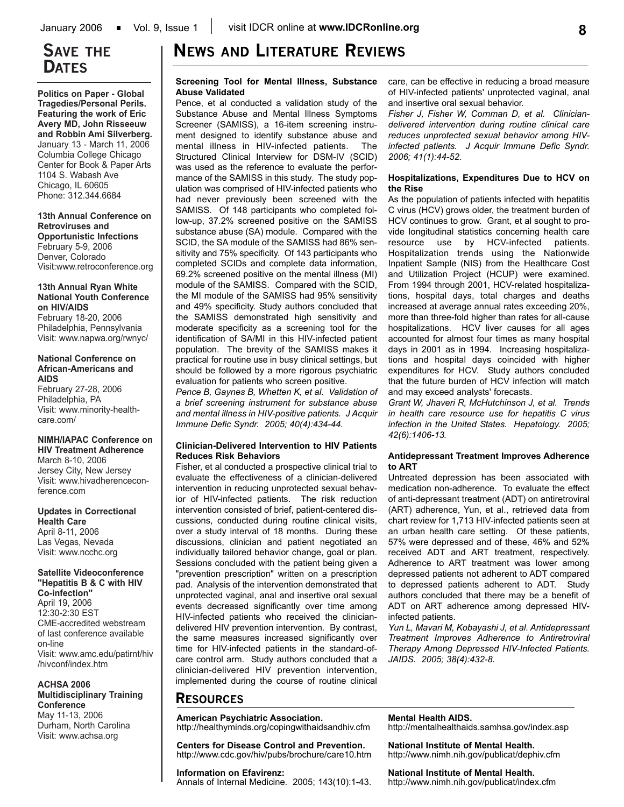# **SAVE THE DATES**

**Politics on Paper - Global Tragedies/Personal Perils. Featuring the work of Eric Avery MD, John Risseeuw and Robbin Ami Silverberg.**  January 13 - March 11, 2006 Columbia College Chicago Center for Book & Paper Arts 1104 S. Wabash Ave Chicago, IL 60605 Phone: 312.344.6684

**13th Annual Conference on Retroviruses and Opportunistic Infections** February 5-9, 2006 Denver, Colorado

Visit:www.retroconference.org

#### **13th Annual Ryan White National Youth Conference on HIV/AIDS**

February 18-20, 2006 Philadelphia, Pennsylvania Visit: www.napwa.org/rwnyc/

#### **National Conference on African-Americans and AIDS**

February 27-28, 2006 Philadelphia, PA Visit: www.minority-healthcare.com/

## **NIMH/IAPAC Conference on**

**HIV Treatment Adherence** March 8-10, 2006 Jersey City, New Jersey Visit: www.hivadherenceconference.com

**Updates in Correctional Health Care** April 8-11, 2006 Las Vegas, Nevada Visit: www.ncchc.org

## **Satellite Videoconference "Hepatitis B & C with HIV**

**Co-infection"** April 19, 2006 12:30-2:30 EST CME-accredited webstream of last conference available on-line Visit: www.amc.edu/patirnt/hiv /hivconf/index.htm

### **ACHSA 2006 Multidisciplinary Training**

**Conference** May 11-13, 2006 Durham, North Carolina Visit: www.achsa.org

# **NEWS AND LITERATURE REVIEWS**

#### **Screening Tool for Mental Illness, Substance Abuse Validated**

Pence, et al conducted a validation study of the Substance Abuse and Mental Illness Symptoms Screener (SAMISS), a 16-item screening instrument designed to identify substance abuse and mental illness in HIV-infected patients. The Structured Clinical Interview for DSM-IV (SCID) was used as the reference to evaluate the performance of the SAMISS in this study. The study population was comprised of HIV-infected patients who had never previously been screened with the SAMISS. Of 148 participants who completed follow-up, 37.2% screened positive on the SAMISS substance abuse (SA) module. Compared with the SCID, the SA module of the SAMISS had 86% sensitivity and 75% specificity. Of 143 participants who completed SCIDs and complete data information, 69.2% screened positive on the mental illness (MI) module of the SAMISS. Compared with the SCID, the MI module of the SAMISS had 95% sensitivity and 49% specificity. Study authors concluded that the SAMISS demonstrated high sensitivity and moderate specificity as a screening tool for the identification of SA/MI in this HIV-infected patient population. The brevity of the SAMISS makes it practical for routine use in busy clinical settings, but should be followed by a more rigorous psychiatric evaluation for patients who screen positive.

*Pence B, Gaynes B, Whetten K, et al. Validation of a brief screening instrument for substance abuse and mental illness in HIV-positive patients. J Acquir Immune Defic Syndr. 2005; 40(4):434-44.*

#### **Clinician-Delivered Intervention to HIV Patients Reduces Risk Behaviors**

Fisher, et al conducted a prospective clinical trial to evaluate the effectiveness of a clinician-delivered intervention in reducing unprotected sexual behavior of HIV-infected patients. The risk reduction intervention consisted of brief, patient-centered discussions, conducted during routine clinical visits, over a study interval of 18 months. During these discussions, clinician and patient negotiated an individually tailored behavior change, goal or plan. Sessions concluded with the patient being given a "prevention prescription" written on a prescription pad. Analysis of the intervention demonstrated that unprotected vaginal, anal and insertive oral sexual events decreased significantly over time among HIV-infected patients who received the cliniciandelivered HIV prevention intervention. By contrast, the same measures increased significantly over time for HIV-infected patients in the standard-ofcare control arm. Study authors concluded that a clinician-delivered HIV prevention intervention, implemented during the course of routine clinical

care, can be effective in reducing a broad measure of HIV-infected patients' unprotected vaginal, anal and insertive oral sexual behavior.

*Fisher J, Fisher W, Cornman D, et al. Cliniciandelivered intervention during routine clinical care reduces unprotected sexual behavior among HIVinfected patients. J Acquir Immune Defic Syndr. 2006; 41(1):44-52.*

#### **Hospitalizations, Expenditures Due to HCV on the Rise**

As the population of patients infected with hepatitis C virus (HCV) grows older, the treatment burden of HCV continues to grow. Grant, et al sought to provide longitudinal statistics concerning health care resource use by HCV-infected patients. Hospitalization trends using the Nationwide Inpatient Sample (NIS) from the Healthcare Cost and Utilization Project (HCUP) were examined. From 1994 through 2001, HCV-related hospitalizations, hospital days, total charges and deaths increased at average annual rates exceeding 20%, more than three-fold higher than rates for all-cause hospitalizations. HCV liver causes for all ages accounted for almost four times as many hospital days in 2001 as in 1994. Increasing hospitalizations and hospital days coincided with higher expenditures for HCV. Study authors concluded that the future burden of HCV infection will match and may exceed analysts' forecasts.

*Grant W, Jhaveri R, McHutchinson J, et al. Trends in health care resource use for hepatitis C virus infection in the United States. Hepatology. 2005; 42(6):1406-13.*

#### **Antidepressant Treatment Improves Adherence to ART**

Untreated depression has been associated with medication non-adherence. To evaluate the effect of anti-depressant treatment (ADT) on antiretroviral (ART) adherence, Yun, et al., retrieved data from chart review for 1,713 HIV-infected patients seen at an urban health care setting. Of these patients, 57% were depressed and of these, 46% and 52% received ADT and ART treatment, respectively. Adherence to ART treatment was lower among depressed patients not adherent to ADT compared to depressed patients adherent to ADT. Study authors concluded that there may be a benefit of ADT on ART adherence among depressed HIVinfected patients.

*Yun L, Mavari M, Kobayashi J, et al. Antidepressant Treatment Improves Adherence to Antiretroviral Therapy Among Depressed HIV-Infected Patients. JAIDS. 2005; 38(4):432-8.*

## **RESOURCES**

#### **American Psychiatric Association.**

**Information on Efavirenz:**

http://healthyminds.org/copingwithaidsandhiv.cfm

**Centers for Disease Control and Prevention.** http://www.cdc.gov/hiv/pubs/brochure/care10.htm

Annals of Internal Medicine. 2005; 143(10):1-43.

**Mental Health AIDS.** http://mentalhealthaids.samhsa.gov/index.asp

**National Institute of Mental Health.** http://www.nimh.nih.gov/publicat/dephiv.cfm

**National Institute of Mental Health.** http://www.nimh.nih.gov/publicat/index.cfm